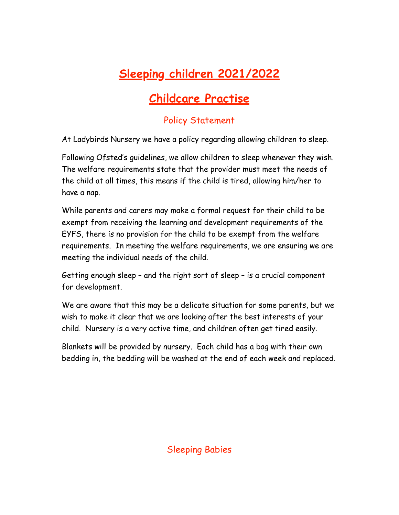# **Sleeping children 2021/2022**

# **Childcare Practise**

# Policy Statement

At Ladybirds Nursery we have a policy regarding allowing children to sleep.

Following Ofsted's guidelines, we allow children to sleep whenever they wish. The welfare requirements state that the provider must meet the needs of the child at all times, this means if the child is tired, allowing him/her to have a nap.

While parents and carers may make a formal request for their child to be exempt from receiving the learning and development requirements of the EYFS, there is no provision for the child to be exempt from the welfare requirements. In meeting the welfare requirements, we are ensuring we are meeting the individual needs of the child.

Getting enough sleep – and the right sort of sleep – is a crucial component for development.

We are aware that this may be a delicate situation for some parents, but we wish to make it clear that we are looking after the best interests of your child. Nursery is a very active time, and children often get tired easily.

Blankets will be provided by nursery. Each child has a bag with their own bedding in, the bedding will be washed at the end of each week and replaced.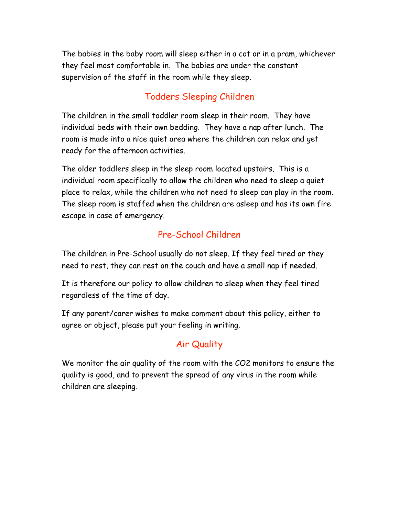The babies in the baby room will sleep either in a cot or in a pram, whichever they feel most comfortable in. The babies are under the constant supervision of the staff in the room while they sleep.

#### Todders Sleeping Children

The children in the small toddler room sleep in their room. They have individual beds with their own bedding. They have a nap after lunch. The room is made into a nice quiet area where the children can relax and get ready for the afternoon activities.

The older toddlers sleep in the sleep room located upstairs. This is a individual room specifically to allow the children who need to sleep a quiet place to relax, while the children who not need to sleep can play in the room. The sleep room is staffed when the children are asleep and has its own fire escape in case of emergency.

## Pre-School Children

The children in Pre-School usually do not sleep. If they feel tired or they need to rest, they can rest on the couch and have a small nap if needed.

It is therefore our policy to allow children to sleep when they feel tired regardless of the time of day.

If any parent/carer wishes to make comment about this policy, either to agree or object, please put your feeling in writing.

## Air Quality

We monitor the air quality of the room with the CO2 monitors to ensure the quality is good, and to prevent the spread of any virus in the room while children are sleeping.